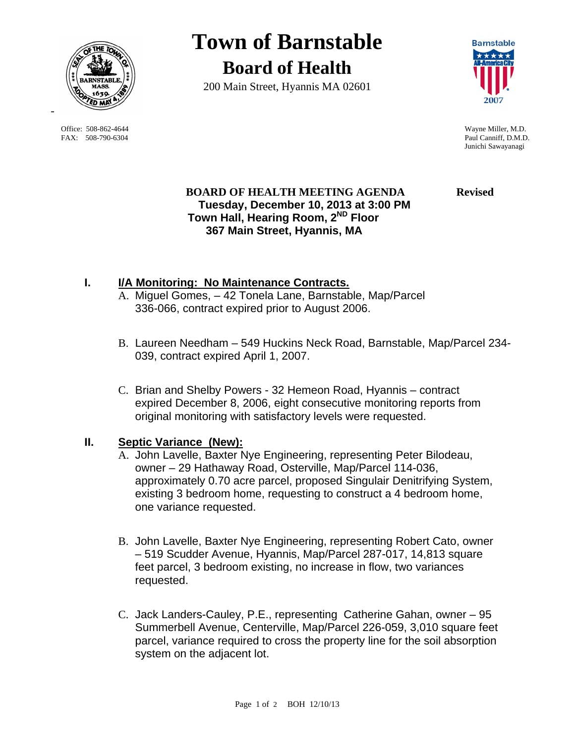

 Office: 508-862-4644 Wayne Miller, M.D. FAX: 508-790-6304 Paul Canniff, D.M.D.

# **Town of Barnstable Board of Health**

200 Main Street, Hyannis MA 02601



Junichi Sawayanagi

#### **BOARD OF HEALTH MEETING AGENDA Revised Tuesday, December 10, 2013 at 3:00 PM Town Hall, Hearing Room, 2ND Floor 367 Main Street, Hyannis, MA**

# **I. I/A Monitoring: No Maintenance Contracts.**

- A. Miguel Gomes, 42 Tonela Lane, Barnstable, Map/Parcel 336-066, contract expired prior to August 2006.
- B. Laureen Needham 549 Huckins Neck Road, Barnstable, Map/Parcel 234- 039, contract expired April 1, 2007.
- C. Brian and Shelby Powers 32 Hemeon Road, Hyannis contract expired December 8, 2006, eight consecutive monitoring reports from original monitoring with satisfactory levels were requested.

### **II. Septic Variance (New):**

- A. John Lavelle, Baxter Nye Engineering, representing Peter Bilodeau, owner – 29 Hathaway Road, Osterville, Map/Parcel 114-036, approximately 0.70 acre parcel, proposed Singulair Denitrifying System, existing 3 bedroom home, requesting to construct a 4 bedroom home, one variance requested.
- B. John Lavelle, Baxter Nye Engineering, representing Robert Cato, owner – 519 Scudder Avenue, Hyannis, Map/Parcel 287-017, 14,813 square feet parcel, 3 bedroom existing, no increase in flow, two variances requested.
- C. Jack Landers-Cauley, P.E., representing Catherine Gahan, owner 95 Summerbell Avenue, Centerville, Map/Parcel 226-059, 3,010 square feet parcel, variance required to cross the property line for the soil absorption system on the adjacent lot.